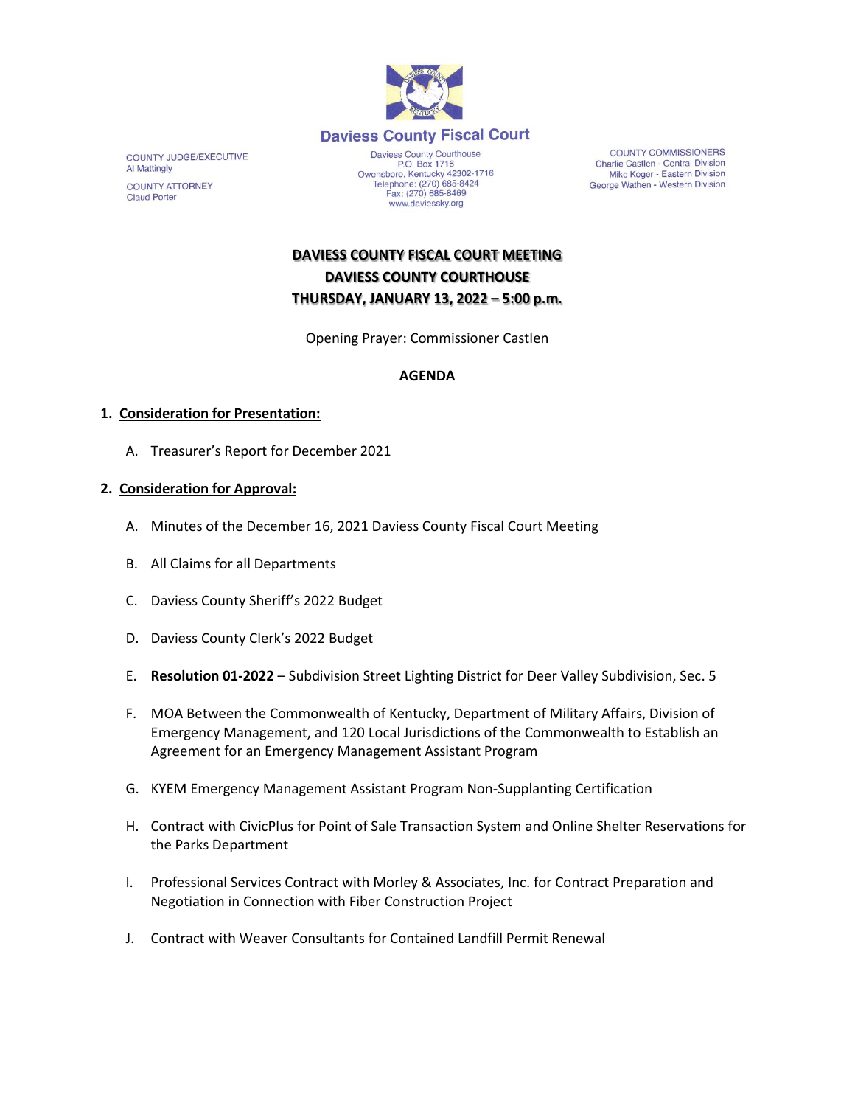

COUNTY JUDGE/EXECUTIVE Al Mattingly **COUNTY ATTORNEY Claud Porter** 

P.O. Box 1716<br>December 1716<br>Comparison (270) 685-8424<br>Telephone: (270) 685-8424 Fax: (270) 685-8469 www.daviessky.org

**COUNTY COMMISSIONERS** Charlie Castlen - Central Division<br>Mike Koger - Eastern Division George Wathen - Western Division

**DAVIESS COUNTY FISCAL COURT MEETING DAVIESS COUNTY COURTHOUSE THURSDAY, JANUARY 13, 2022 – 5:00 p.m.** 

Opening Prayer: Commissioner Castlen

## **AGENDA**

## **1. Consideration for Presentation:**

A. Treasurer's Report for December 2021

## **2. Consideration for Approval:**

- A. Minutes of the December 16, 2021 Daviess County Fiscal Court Meeting
- B. All Claims for all Departments
- C. Daviess County Sheriff's 2022 Budget
- D. Daviess County Clerk's 2022 Budget
- E. **Resolution 01-2022** Subdivision Street Lighting District for Deer Valley Subdivision, Sec. 5
- F. MOA Between the Commonwealth of Kentucky, Department of Military Affairs, Division of Emergency Management, and 120 Local Jurisdictions of the Commonwealth to Establish an Agreement for an Emergency Management Assistant Program
- G. KYEM Emergency Management Assistant Program Non-Supplanting Certification
- H. Contract with CivicPlus for Point of Sale Transaction System and Online Shelter Reservations for the Parks Department
- I. Professional Services Contract with Morley & Associates, Inc. for Contract Preparation and Negotiation in Connection with Fiber Construction Project
- J. Contract with Weaver Consultants for Contained Landfill Permit Renewal